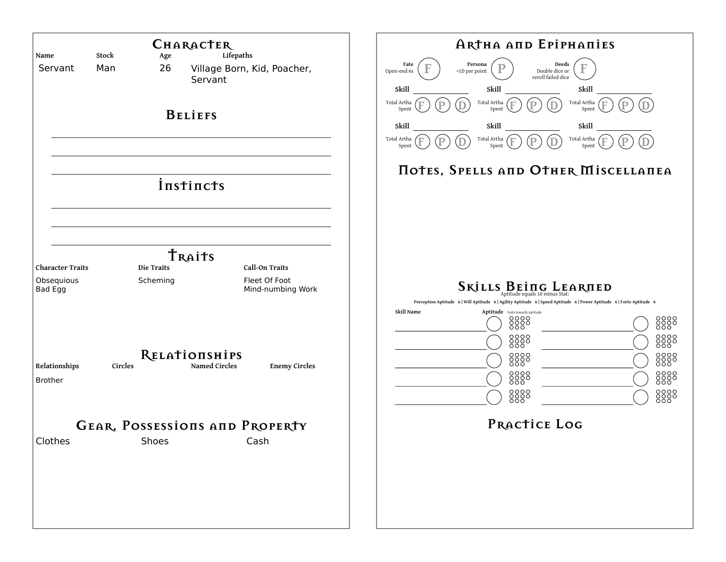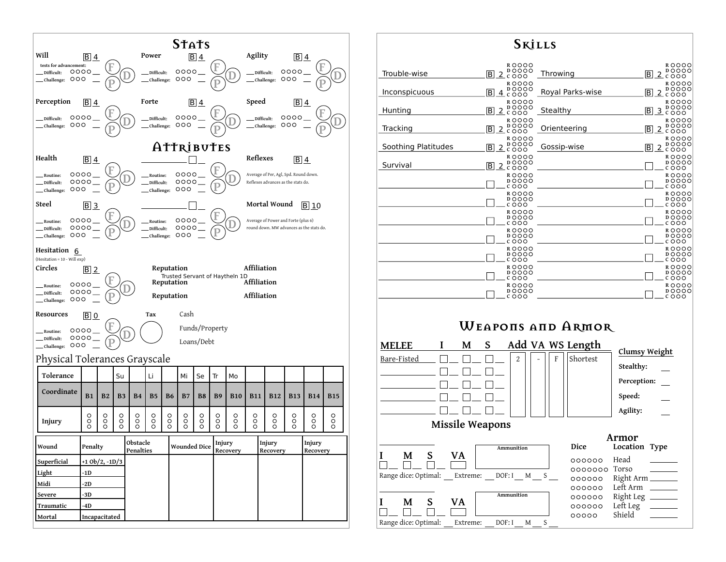

|                                                                      | <b>S</b> kills                                                                                                                                                                                                                                                                                   |                              |                                                                                                                                                                                                                                                                   |  |  |  |
|----------------------------------------------------------------------|--------------------------------------------------------------------------------------------------------------------------------------------------------------------------------------------------------------------------------------------------------------------------------------------------|------------------------------|-------------------------------------------------------------------------------------------------------------------------------------------------------------------------------------------------------------------------------------------------------------------|--|--|--|
| Trouble-wise                                                         | ROOOO<br>20000<br>ΙBΙ<br>R 0000<br><b>DOOOO</b>                                                                                                                                                                                                                                                  | Throwing                     | <b>ROOOO</b><br><b>DOOOO</b><br>2000<br>IBI<br>R O O O O<br><b>DOOOO</b>                                                                                                                                                                                          |  |  |  |
| Inconspicuous<br>Hunting                                             | B <sup>l</sup><br><u>4</u> c 000<br>ROOOO<br>DOOOO<br>ΙBΙ<br><u>2</u> čŏŏo                                                                                                                                                                                                                       | Royal Parks-wise<br>Stealthy | B<br><u>2</u> č ooo<br>ROOOO<br><b>DOOOO</b><br>Bl<br><u>3</u> čooo                                                                                                                                                                                               |  |  |  |
| Tracking                                                             | R O O O O<br>20000<br>ΙBΙ                                                                                                                                                                                                                                                                        | Orienteering                 | R 0 0 0 0<br><b>DOOOO</b><br>ΙBΙ<br>$2\overset{\nu}{\circ}\overset{\sim}{\circ}\overset{\sim}{\circ}\overset{\sim}{\circ}$                                                                                                                                        |  |  |  |
| Soothing Platitudes                                                  | ROOOO<br><b>DOOOO</b><br>B<br><u>2</u> čŏŏŏ<br>ROOOO                                                                                                                                                                                                                                             | Gossip-wise                  | ROOOO<br><b>DOOOO</b><br>ΒI<br><u>2</u> č ŏŏŏ<br>ROOOO                                                                                                                                                                                                            |  |  |  |
| Survival                                                             | <b>DOOOO</b><br>IBI<br><u>2</u> čŏoo<br>R O O O O<br><b>DOOOO</b><br>COOO<br>ROOOO<br><b>DOOOO</b><br>000<br>R O O O O<br><b>DOOO</b><br>c OOO<br>ROOOO<br><b>DOOOO</b><br>$c$ 000<br><b>ROOOO</b><br><b>DOOOO</b><br>COOO<br>R O O O O<br><b>DOOO</b><br>COOO<br>ROOOO<br><b>DOOOO</b><br>c OOO |                              | <b>DOOOO</b><br>000<br><b>ROOOO</b><br><b>DOOOO</b><br>COOO<br>ROOOO<br><b>DOOOO</b><br>COOO<br>ROOOO<br><b>DOOO</b><br>000<br>R0000<br><b>DOOOO</b><br>0000<br>ROOOO<br><b>DOOOO</b><br>COOO<br>ROOOO<br><b>DOOO</b><br>$c$ 000<br>ROOOO<br><b>DOOOO</b><br>COOO |  |  |  |
| WEAPONS AND ARMOR<br>Add VA WS Length<br>S<br>T<br>М<br><b>MELEE</b> |                                                                                                                                                                                                                                                                                                  |                              |                                                                                                                                                                                                                                                                   |  |  |  |
| Bare-Fisted<br>Missile Weapons                                       | 2                                                                                                                                                                                                                                                                                                | Shortest<br>F                | Clumsy Weight<br>Stealthy:<br>Perception:<br>Speed:<br>Agility:                                                                                                                                                                                                   |  |  |  |
|                                                                      | Ammunition                                                                                                                                                                                                                                                                                       | Dice                         | Armor<br>Location Type                                                                                                                                                                                                                                            |  |  |  |

|                           |                | Ammunition  |   | Dice                                        | Location                        |
|---------------------------|----------------|-------------|---|---------------------------------------------|---------------------------------|
| М<br>Range dice: Optimal: | VА<br>Extreme: | DOF: I<br>M |   | 000000<br>0000000 Torso<br>000000<br>000000 | Head<br>Right Arm<br>Left Arm   |
| М                         | VА             | Ammunition  |   | 000000<br>000000<br>00000                   | Right Leg<br>Left Leg<br>Shield |
| Range dice: Optimal:      | Extreme:       | DOF: I<br>М | S |                                             |                                 |